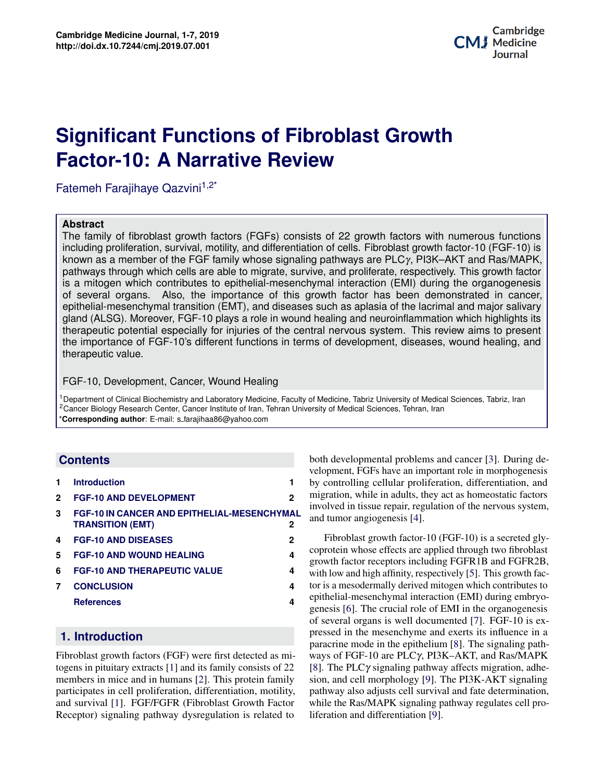# **Potential Applications of Three-dimensional Bioprinting in Regenerative Medicine Factor-10: A Narrative Review Significant Functions of Fibroblast Growth**

Fatemeh Farajihaye Qazvini $1,2^*$ 

#### **Abstract**

which highlights its<br>w aims to present bioprinting in Regenerative Medicine The family of fibroblast growth factors (FGFs) consists of 22 growth factors with numerous functions including proliferation, survival, motility, and differentiation of cells. Fibroblast growth factor-10 (FGF-10) is known as a member of the FGF family whose signaling pathways are PLC $\gamma$ , PI3K–AKT and Ras/MAPK, pathways through which cells are able to migrate, survive, and proliferate, respectively. This growth factor is a mitogen which contributes to epithelial-mesenchymal interaction (EMI) during the organogenesis of several organs. Also, the importance of this growth factor has been demonstrated in cancer, epithelial-mesenchymal transition (EMT), and diseases such as aplasia of the lacrimal and major salivary gland (ALSG). Moreover, FGF-10 plays a role in wound healing and neuroinflammation which highlights its therapeutic potential especially for injuries of the central nervous system. This review aims to present the importance of FGF-10's different functions in terms of development, diseases, wound healing, and therapeutic value.

### FGF-10, Development, Cancer, Wound Healing

<sup>1</sup>Department of Clinical Biochemistry and Laboratory Medicine, Faculty of Medicine, Tabriz University of Medical Sciences, Tabriz, Iran <sup>2</sup>Cancer Biology Research Center, Cancer Institute of Iran, Tehran University of Medical Sciences, Tehran, Iran \***Corresponding author**: E-mail: s farajihaa86@yahoo.com

# **Contents**

| 1            | <b>Introduction</b>                                                           |   |
|--------------|-------------------------------------------------------------------------------|---|
| $\mathbf{2}$ | <b>FGF-10 AND DEVELOPMENT</b>                                                 | 2 |
| 3            | <b>FGF-10 IN CANCER AND EPITHELIAL-MESENCHYMAL</b><br><b>TRANSITION (EMT)</b> | 2 |
| 4            | <b>FGF-10 AND DISEASES</b>                                                    | 2 |
| 5.           | <b>FGF-10 AND WOUND HEALING</b>                                               | 4 |
| 6            | <b>FGF-10 AND THERAPEUTIC VALUE</b>                                           | 4 |
| 7            | <b>CONCLUSION</b>                                                             | 4 |
|              | <b>References</b>                                                             | 4 |
|              |                                                                               |   |

# <span id="page-0-0"></span>**22. Introduction**

Fibroblast growth factors (FGF) were first detected as mi-togens in pituitary extracts [\[1\]](#page-3-3) and its family consists of 22  $A$  participates in cell proliferation, differentiation, motility, and survival [\[1\]](#page-3-3). FGF/FGFR (Fibroblast Growth Factor Receptor) signaling pathway dysregulation is related to members in mice and in humans [\[2\]](#page-3-4). This protein family

both developmental problems and cancer [\[3\]](#page-3-5). During development, FGFs have an important role in morphogenesis by controlling cellular proliferation, differentiation, and migration, while in adults, they act as homeostatic factors involved in tissue repair, regulation of the nervous system, and tumor angiogenesis [\[4\]](#page-4-0).

tumor angiogenesis [4].<br>Fibroblast growth factor-10 (FGF-10) is a secreted glygrowth factor receptors including FGFR1B and FGFR2B, **4** tor is a mesodermally derived mitogen which contributes to in 1938, which described the equipment of  $T_{\text{M}}$ epithelial-mesenchymal interaction (EMI) during embryogenesis poj. The crucial force of EAT in the org[an](#page-4-3)isgenesis<br>of several organs is well documented [7]. FGF-10 is expressed in the mesenchyme and exerts its influence in a negation mode in the entitlelium  $[9]$ . The signaling noth as mi-<br>ways of FGF-10 are PLCγ, PI3K–AKT, and Ras/MAPK  $\text{if } 22 \quad [8]$  $\text{if } 22 \quad [8]$ . The PLC $\gamma$  signaling pathway affects migration, adhe-<br>Samily stop, and cell morphology [9]. The PI3K-AKT signaling pathway also adjusts cell survival and fate determination, logy have led to see the process seems processes.<br>[9] 4 Contenant methods which methods (EMI) during emotyon<br>genesis [\[6\]](#page-4-2). The crucial role of EMI in the organogenesis **From its conception in the epithelium** [8]. The signaling path- $\frac{1}{2}$  amily sion, and cell morphology [\[9\]](#page-4-5). The PI3K-AKT signaling binity, pathway also adjusts cent survival and tale determination,<br>Factor while the Ras/MAPK signaling pathway regulates cell pro-process some the term 'bioprinting' parameters of processes the process space of the liferation and differentiation [\[9\]](#page-4-5). medicine, bioprinting is beginning to play a role in regenercoprotein whose effects are applied through two fibroblast with low and high affinity, respectively [\[5\]](#page-4-1). This growth fac-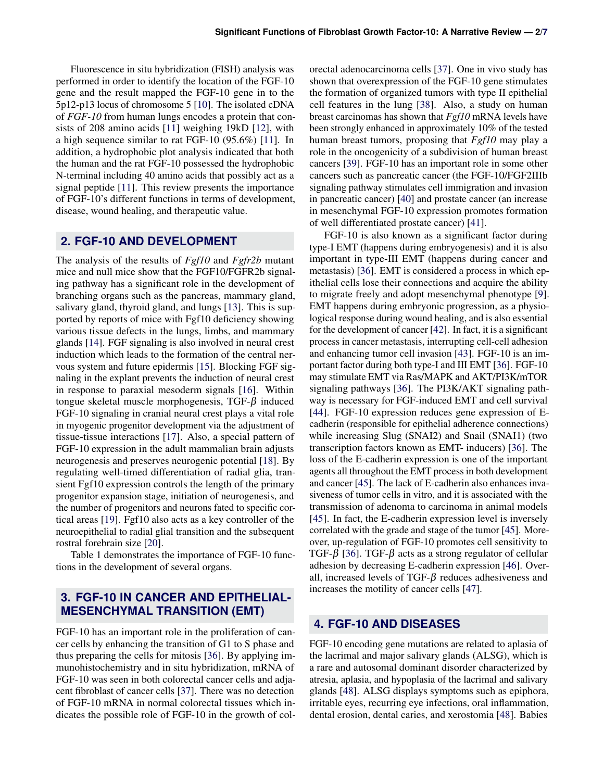Fluorescence in situ hybridization (FISH) analysis was performed in order to identify the location of the FGF-10 gene and the result mapped the FGF-10 gene in to the 5p12-p13 locus of chromosome 5 [\[10\]](#page-4-6). The isolated cDNA of *FGF-10* from human lungs encodes a protein that consists of 208 amino acids [\[11\]](#page-4-7) weighing 19kD [\[12\]](#page-4-8), with a high sequence similar to rat FGF-10 (95.6%) [\[11\]](#page-4-7). In addition, a hydrophobic plot analysis indicated that both the human and the rat FGF-10 possessed the hydrophobic N-terminal including 40 amino acids that possibly act as a signal peptide [\[11\]](#page-4-7). This review presents the importance of FGF-10's different functions in terms of development, disease, wound healing, and therapeutic value.

## <span id="page-1-0"></span>**2. FGF-10 AND DEVELOPMENT**

The analysis of the results of *Fgf10* and *Fgfr2b* mutant mice and null mice show that the FGF10/FGFR2b signaling pathway has a significant role in the development of branching organs such as the pancreas, mammary gland, salivary gland, thyroid gland, and lungs [\[13\]](#page-4-9). This is supported by reports of mice with Fgf10 deficiency showing various tissue defects in the lungs, limbs, and mammary glands [\[14\]](#page-4-10). FGF signaling is also involved in neural crest induction which leads to the formation of the central nervous system and future epidermis [\[15\]](#page-4-11). Blocking FGF signaling in the explant prevents the induction of neural crest in response to paraxial mesoderm signals [\[16\]](#page-4-12). Within tongue skeletal muscle morphogenesis, TGF- $β$  induced FGF-10 signaling in cranial neural crest plays a vital role in myogenic progenitor development via the adjustment of tissue-tissue interactions [\[17\]](#page-4-13). Also, a special pattern of FGF-10 expression in the adult mammalian brain adjusts neurogenesis and preserves neurogenic potential [\[18\]](#page-4-14). By regulating well-timed differentiation of radial glia, transient Fgf10 expression controls the length of the primary progenitor expansion stage, initiation of neurogenesis, and the number of progenitors and neurons fated to specific cortical areas [\[19\]](#page-4-15). Fgf10 also acts as a key controller of the neuroepithelial to radial glial transition and the subsequent rostral forebrain size [\[20\]](#page-4-16).

Table 1 demonstrates the importance of FGF-10 functions in the development of several organs.

# <span id="page-1-1"></span>**3. FGF-10 IN CANCER AND EPITHELIAL-MESENCHYMAL TRANSITION (EMT)**

FGF-10 has an important role in the proliferation of cancer cells by enhancing the transition of G1 to S phase and thus preparing the cells for mitosis [\[36\]](#page-5-0). By applying immunohistochemistry and in situ hybridization, mRNA of FGF-10 was seen in both colorectal cancer cells and adjacent fibroblast of cancer cells [\[37\]](#page-5-1). There was no detection of FGF-10 mRNA in normal colorectal tissues which indicates the possible role of FGF-10 in the growth of col-

orectal adenocarcinoma cells [\[37\]](#page-5-1). One in vivo study has shown that overexpression of the FGF-10 gene stimulates the formation of organized tumors with type II epithelial cell features in the lung [\[38\]](#page-5-2). Also, a study on human breast carcinomas has shown that *Fgf10* mRNA levels have been strongly enhanced in approximately 10% of the tested human breast tumors, proposing that *Fgf10* may play a role in the oncogenicity of a subdivision of human breast cancers [\[39\]](#page-5-3). FGF-10 has an important role in some other cancers such as pancreatic cancer (the FGF-10/FGF2IIIb signaling pathway stimulates cell immigration and invasion in pancreatic cancer) [\[40\]](#page-5-4) and prostate cancer (an increase in mesenchymal FGF-10 expression promotes formation of well differentiated prostate cancer) [\[41\]](#page-5-5).

FGF-10 is also known as a significant factor during type-I EMT (happens during embryogenesis) and it is also important in type-III EMT (happens during cancer and metastasis) [\[36\]](#page-5-0). EMT is considered a process in which epithelial cells lose their connections and acquire the ability to migrate freely and adopt mesenchymal phenotype [\[9\]](#page-4-5). EMT happens during embryonic progression, as a physiological response during wound healing, and is also essential for the development of cancer [\[42\]](#page-5-6). In fact, it is a significant process in cancer metastasis, interrupting cell-cell adhesion and enhancing tumor cell invasion [\[43\]](#page-5-7). FGF-10 is an important factor during both type-I and III EMT [\[36\]](#page-5-0). FGF-10 may stimulate EMT via Ras/MAPK and AKT/PI3K/mTOR signaling pathways [\[36\]](#page-5-0). The PI3K/AKT signaling pathway is necessary for FGF-induced EMT and cell survival [\[44\]](#page-5-8). FGF-10 expression reduces gene expression of Ecadherin (responsible for epithelial adherence connections) while increasing Slug (SNAI2) and Snail (SNAI1) (two transcription factors known as EMT- inducers) [\[36\]](#page-5-0). The loss of the E-cadherin expression is one of the important agents all throughout the EMT process in both development and cancer [\[45\]](#page-5-9). The lack of E-cadherin also enhances invasiveness of tumor cells in vitro, and it is associated with the transmission of adenoma to carcinoma in animal models [\[45\]](#page-5-9). In fact, the E-cadherin expression level is inversely correlated with the grade and stage of the tumor [\[45\]](#page-5-9). Moreover, up-regulation of FGF-10 promotes cell sensitivity to TGF-β [\[36\]](#page-5-0). TGF-β acts as a strong regulator of cellular adhesion by decreasing E-cadherin expression [\[46\]](#page-5-10). Overall, increased levels of TGF- $\beta$  reduces adhesiveness and increases the motility of cancer cells [\[47\]](#page-5-11).

## <span id="page-1-2"></span>**4. FGF-10 AND DISEASES**

FGF-10 encoding gene mutations are related to aplasia of the lacrimal and major salivary glands (ALSG), which is a rare and autosomal dominant disorder characterized by atresia, aplasia, and hypoplasia of the lacrimal and salivary glands [\[48\]](#page-5-12). ALSG displays symptoms such as epiphora, irritable eyes, recurring eye infections, oral inflammation, dental erosion, dental caries, and xerostomia [\[48\]](#page-5-12). Babies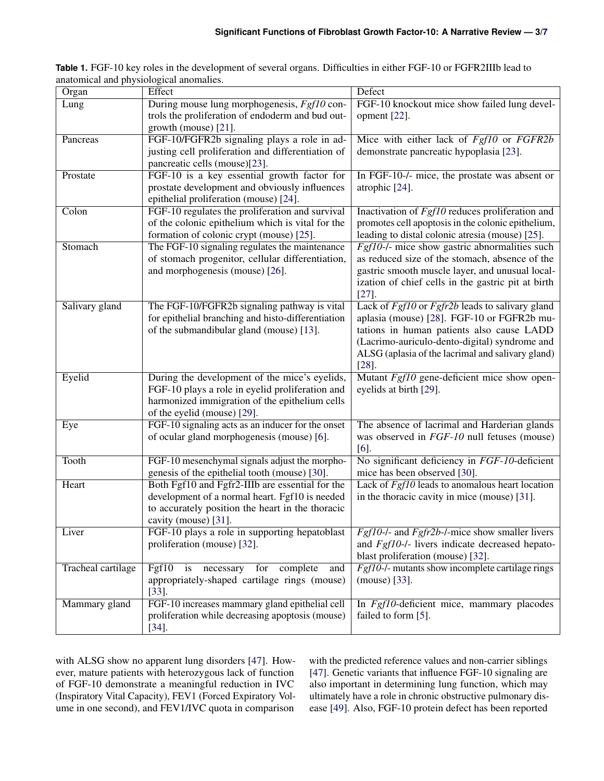| Organ                     | Effect                                                              | Defect                                                          |
|---------------------------|---------------------------------------------------------------------|-----------------------------------------------------------------|
| Lung                      | During mouse lung morphogenesis, Fgf10 con-                         | FGF-10 knockout mice show failed lung devel-                    |
|                           | trols the proliferation of endoderm and bud out-                    | opment $[22]$ .                                                 |
|                           | growth (mouse) [21].                                                |                                                                 |
| Pancreas                  | FGF-10/FGFR2b signaling plays a role in ad-                         | Mice with either lack of Fgf10 or FGFR2b                        |
|                           | justing cell proliferation and differentiation of                   | demonstrate pancreatic hypoplasia [23].                         |
|                           | pancreatic cells (mouse)[23].                                       |                                                                 |
| Prostate                  | FGF-10 is a key essential growth factor for                         | In FGF-10-/- mice, the prostate was absent or                   |
|                           | prostate development and obviously influences                       | atrophic [24].                                                  |
|                           | epithelial proliferation (mouse) [24].                              |                                                                 |
| Colon                     | FGF-10 regulates the proliferation and survival                     | Inactivation of $Fgf10$ reduces proliferation and               |
|                           | of the colonic epithelium which is vital for the                    | promotes cell apoptosis in the colonic epithelium,              |
|                           | formation of colonic crypt (mouse) [25].                            | leading to distal colonic atresia (mouse) [25].                 |
| Stomach                   | The FGF-10 signaling regulates the maintenance                      | Fgf10-/- mice show gastric abnormalities such                   |
|                           | of stomach progenitor, cellular differentiation,                    | as reduced size of the stomach, absence of the                  |
|                           | and morphogenesis (mouse) [26].                                     | gastric smooth muscle layer, and unusual local-                 |
|                           |                                                                     | ization of chief cells in the gastric pit at birth              |
|                           |                                                                     | $[27]$ .                                                        |
| Salivary gland            | The FGF-10/FGFR2b signaling pathway is vital                        | Lack of Fgf10 or Fgfr2b leads to salivary gland                 |
|                           | for epithelial branching and histo-differentiation                  | aplasia (mouse) [28]. FGF-10 or FGFR2b mu-                      |
|                           | of the submandibular gland (mouse) [13].                            | tations in human patients also cause LADD                       |
|                           |                                                                     | (Lacrimo-auriculo-dento-digital) syndrome and                   |
|                           |                                                                     | ALSG (aplasia of the lacrimal and salivary gland)               |
|                           |                                                                     | $[28]$ .                                                        |
| Eyelid                    | During the development of the mice's eyelids,                       | Mutant Fgf10 gene-deficient mice show open-                     |
|                           | FGF-10 plays a role in eyelid proliferation and                     | eyelids at birth [29].                                          |
|                           | harmonized immigration of the epithelium cells                      |                                                                 |
|                           | of the eyelid (mouse) [29].                                         |                                                                 |
| Eye                       | FGF-10 signaling acts as an inducer for the onset                   | The absence of lacrimal and Harderian glands                    |
|                           | of ocular gland morphogenesis (mouse) [6].                          | was observed in FGF-10 null fetuses (mouse)                     |
|                           |                                                                     | $[6]$ .                                                         |
| Tooth                     | FGF-10 mesenchymal signals adjust the morpho-                       | No significant deficiency in FGF-10-deficient                   |
|                           | genesis of the epithelial tooth (mouse) [30].                       | mice has been observed [30].                                    |
| Heart                     | Both Fgf10 and Fgfr2-IIIb are essential for the                     | Lack of $Fgf10$ leads to anomalous heart location               |
|                           | development of a normal heart. Fgf10 is needed                      | in the thoracic cavity in mice (mouse) [31].                    |
|                           | to accurately position the heart in the thoracic                    |                                                                 |
|                           | cavity (mouse) [31].                                                |                                                                 |
| Liver                     | FGF-10 plays a role in supporting hepatoblast                       | $\overline{Fgf10}$ -/- and $Fgfr2b$ -/-mice show smaller livers |
|                           | proliferation (mouse) [32].                                         | and Fgf10-/- livers indicate decreased hepato-                  |
|                           |                                                                     | blast proliferation (mouse) [32].                               |
| <b>Tracheal cartilage</b> | $\overline{\text{Fgf}}10$<br>complete<br>is necessary<br>for<br>and | Fgf10-/- mutants show incomplete cartilage rings                |
|                           | appropriately-shaped cartilage rings (mouse)                        | (mouse) [33].                                                   |
|                           | $[33]$ .                                                            |                                                                 |
| Mammary gland             | FGF-10 increases mammary gland epithelial cell                      | In Fgf10-deficient mice, mammary placodes                       |
|                           | proliferation while decreasing apoptosis (mouse)                    | failed to form [5].                                             |
|                           | $[34]$ .                                                            |                                                                 |

**Table 1.** FGF-10 key roles in the development of several organs. Difficulties in either FGF-10 or FGFR2IIIb lead to anatomical and physiological anomalies.

with ALSG show no apparent lung disorders [\[47\]](#page-5-11). However, mature patients with heterozygous lack of function of FGF-10 demonstrate a meaningful reduction in IVC (Inspiratory Vital Capacity), FEV1 (Forced Expiratory Volume in one second), and FEV1/IVC quota in comparison

with the predicted reference values and non-carrier siblings [\[47\]](#page-5-11). Genetic variants that influence FGF-10 signaling are also important in determining lung function, which may ultimately have a role in chronic obstructive pulmonary disease [\[49\]](#page-5-18). Also, FGF-10 protein defect has been reported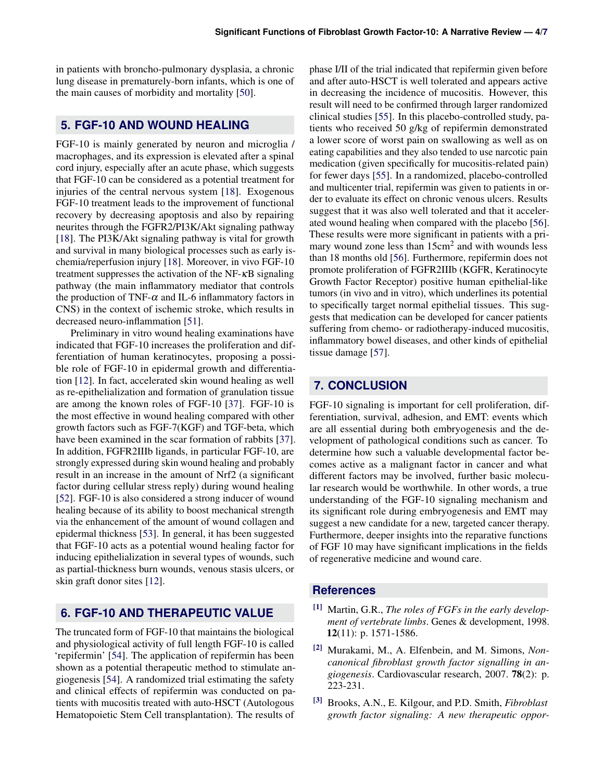in patients with broncho-pulmonary dysplasia, a chronic lung disease in prematurely-born infants, which is one of the main causes of morbidity and mortality [\[50\]](#page-5-19).

## <span id="page-3-0"></span>**5. FGF-10 AND WOUND HEALING**

FGF-10 is mainly generated by neuron and microglia / macrophages, and its expression is elevated after a spinal cord injury, especially after an acute phase, which suggests that FGF-10 can be considered as a potential treatment for injuries of the central nervous system [\[18\]](#page-4-14). Exogenous FGF-10 treatment leads to the improvement of functional recovery by decreasing apoptosis and also by repairing neurites through the FGFR2/PI3K/Akt signaling pathway [\[18\]](#page-4-14). The PI3K/Akt signaling pathway is vital for growth and survival in many biological processes such as early ischemia/reperfusion injury [\[18\]](#page-4-14). Moreover, in vivo FGF-10 treatment suppresses the activation of the NF-κB signaling pathway (the main inflammatory mediator that controls the production of TNF- $\alpha$  and IL-6 inflammatory factors in CNS) in the context of ischemic stroke, which results in decreased neuro-inflammation [\[51\]](#page-5-20).

Preliminary in vitro wound healing examinations have indicated that FGF-10 increases the proliferation and differentiation of human keratinocytes, proposing a possible role of FGF-10 in epidermal growth and differentiation [\[12\]](#page-4-8). In fact, accelerated skin wound healing as well as re-epithelialization and formation of granulation tissue are among the known roles of FGF-10 [\[37\]](#page-5-1). FGF-10 is the most effective in wound healing compared with other growth factors such as FGF-7(KGF) and TGF-beta, which have been examined in the scar formation of rabbits [\[37\]](#page-5-1). In addition, FGFR2IIIb ligands, in particular FGF-10, are strongly expressed during skin wound healing and probably result in an increase in the amount of Nrf2 (a significant factor during cellular stress reply) during wound healing [\[52\]](#page-5-21). FGF-10 is also considered a strong inducer of wound healing because of its ability to boost mechanical strength via the enhancement of the amount of wound collagen and epidermal thickness [\[53\]](#page-5-22). In general, it has been suggested that FGF-10 acts as a potential wound healing factor for inducing epithelialization in several types of wounds, such as partial-thickness burn wounds, venous stasis ulcers, or skin graft donor sites [\[12\]](#page-4-8).

# <span id="page-3-1"></span>**6. FGF-10 AND THERAPEUTIC VALUE**

The truncated form of FGF-10 that maintains the biological and physiological activity of full length FGF-10 is called 'repifermin' [\[54\]](#page-5-23). The application of repifermin has been shown as a potential therapeutic method to stimulate angiogenesis [\[54\]](#page-5-23). A randomized trial estimating the safety and clinical effects of repifermin was conducted on patients with mucositis treated with auto-HSCT (Autologous Hematopoietic Stem Cell transplantation). The results of

phase I/II of the trial indicated that repifermin given before and after auto-HSCT is well tolerated and appears active in decreasing the incidence of mucositis. However, this result will need to be confirmed through larger randomized clinical studies [\[55\]](#page-5-24). In this placebo-controlled study, patients who received 50 g/kg of repifermin demonstrated a lower score of worst pain on swallowing as well as on eating capabilities and they also tended to use narcotic pain medication (given specifically for mucositis-related pain) for fewer days [\[55\]](#page-5-24). In a randomized, placebo-controlled and multicenter trial, repifermin was given to patients in order to evaluate its effect on chronic venous ulcers. Results suggest that it was also well tolerated and that it accelerated wound healing when compared with the placebo [\[56\]](#page-6-1). These results were more significant in patients with a primary wound zone less than 15cm<sup>2</sup> and with wounds less than 18 months old [\[56\]](#page-6-1). Furthermore, repifermin does not promote proliferation of FGFR2IIIb (KGFR, Keratinocyte Growth Factor Receptor) positive human epithelial-like tumors (in vivo and in vitro), which underlines its potential to specifically target normal epithelial tissues. This suggests that medication can be developed for cancer patients suffering from chemo- or radiotherapy-induced mucositis, inflammatory bowel diseases, and other kinds of epithelial tissue damage [\[57\]](#page-6-2).

## <span id="page-3-2"></span>**7. CONCLUSION**

FGF-10 signaling is important for cell proliferation, differentiation, survival, adhesion, and EMT: events which are all essential during both embryogenesis and the development of pathological conditions such as cancer. To determine how such a valuable developmental factor becomes active as a malignant factor in cancer and what different factors may be involved, further basic molecular research would be worthwhile. In other words, a true understanding of the FGF-10 signaling mechanism and its significant role during embryogenesis and EMT may suggest a new candidate for a new, targeted cancer therapy. Furthermore, deeper insights into the reparative functions of FGF 10 may have significant implications in the fields of regenerative medicine and wound care.

#### **References**

- <span id="page-3-3"></span>[1] Martin, G.R., *The roles of FGFs in the early development of vertebrate limbs*. Genes & development, 1998. 12(11): p. 1571-1586.
- <span id="page-3-4"></span>[2] Murakami, M., A. Elfenbein, and M. Simons, *Noncanonical fibroblast growth factor signalling in angiogenesis*. Cardiovascular research, 2007. 78(2): p. 223-231.
- <span id="page-3-5"></span>[3] Brooks, A.N., E. Kilgour, and P.D. Smith, *Fibroblast growth factor signaling: A new therapeutic oppor-*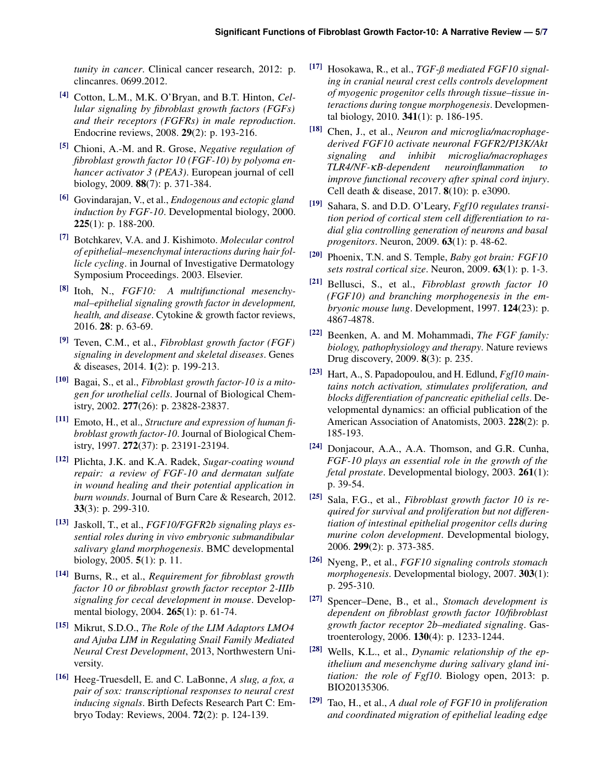*tunity in cancer*. Clinical cancer research, 2012: p. clincanres. 0699.2012.

- <span id="page-4-0"></span>[4] Cotton, L.M., M.K. O'Bryan, and B.T. Hinton, *Cellular signaling by fibroblast growth factors (FGFs) and their receptors (FGFRs) in male reproduction*. Endocrine reviews, 2008. 29(2): p. 193-216.
- <span id="page-4-1"></span>[5] Chioni, A.-M. and R. Grose, *Negative regulation of fibroblast growth factor 10 (FGF-10) by polyoma enhancer activator 3 (PEA3)*. European journal of cell biology, 2009. 88(7): p. 371-384.
- <span id="page-4-2"></span>[6] Govindarajan, V., et al., *Endogenous and ectopic gland induction by FGF-10*. Developmental biology, 2000.  $225(1)$ : p. 188-200.
- <span id="page-4-3"></span>[7] Botchkarev, V.A. and J. Kishimoto. *Molecular control of epithelial–mesenchymal interactions during hair follicle cycling*. in Journal of Investigative Dermatology Symposium Proceedings. 2003. Elsevier.
- <span id="page-4-4"></span>[8] Itoh, N., *FGF10: A multifunctional mesenchymal–epithelial signaling growth factor in development, health, and disease*. Cytokine & growth factor reviews, 2016. 28: p. 63-69.
- <span id="page-4-5"></span>[9] Teven, C.M., et al., *Fibroblast growth factor (FGF) signaling in development and skeletal diseases*. Genes & diseases, 2014. 1(2): p. 199-213.
- <span id="page-4-6"></span>[10] Bagai, S., et al., *Fibroblast growth factor-10 is a mitogen for urothelial cells*. Journal of Biological Chemistry, 2002. 277(26): p. 23828-23837.
- <span id="page-4-7"></span>[11] Emoto, H., et al., *Structure and expression of human fibroblast growth factor-10*. Journal of Biological Chemistry, 1997. 272(37): p. 23191-23194.
- <span id="page-4-8"></span>[12] Plichta, J.K. and K.A. Radek, *Sugar-coating wound repair: a review of FGF-10 and dermatan sulfate in wound healing and their potential application in burn wounds*. Journal of Burn Care & Research, 2012. 33(3): p. 299-310.
- <span id="page-4-9"></span>[13] Jaskoll, T., et al., *FGF10/FGFR2b signaling plays essential roles during in vivo embryonic submandibular salivary gland morphogenesis*. BMC developmental biology, 2005. 5(1): p. 11.
- <span id="page-4-10"></span>[14] Burns, R., et al., *Requirement for fibroblast growth factor 10 or fibroblast growth factor receptor 2-IIIb signaling for cecal development in mouse*. Developmental biology, 2004. 265(1): p. 61-74.
- <span id="page-4-11"></span>[15] Mikrut, S.D.O., *The Role of the LIM Adaptors LMO4 and Ajuba LIM in Regulating Snail Family Mediated Neural Crest Development*, 2013, Northwestern University.
- <span id="page-4-12"></span>[16] Heeg-Truesdell, E. and C. LaBonne, *A slug, a fox, a pair of sox: transcriptional responses to neural crest inducing signals*. Birth Defects Research Part C: Embryo Today: Reviews, 2004. 72(2): p. 124-139.
- <span id="page-4-13"></span>[17] Hosokawa, R., et al., *TGF-ß mediated FGF10 signaling in cranial neural crest cells controls development of myogenic progenitor cells through tissue–tissue interactions during tongue morphogenesis*. Developmental biology, 2010. 341(1): p. 186-195.
- <span id="page-4-14"></span>[18] Chen, J., et al., *Neuron and microglia/macrophagederived FGF10 activate neuronal FGFR2/PI3K/Akt signaling and inhibit microglia/macrophages TLR4/NF-*κ*B-dependent neuroinflammation to improve functional recovery after spinal cord injury*. Cell death & disease, 2017. 8(10): p. e3090.
- <span id="page-4-15"></span>[19] Sahara, S. and D.D. O'Leary, *Fgf10 regulates transition period of cortical stem cell differentiation to radial glia controlling generation of neurons and basal progenitors*. Neuron, 2009. 63(1): p. 48-62.
- <span id="page-4-16"></span>[20] Phoenix, T.N. and S. Temple, *Baby got brain: FGF10 sets rostral cortical size*. Neuron, 2009. 63(1): p. 1-3.
- <span id="page-4-17"></span>[21] Bellusci, S., et al., *Fibroblast growth factor 10 (FGF10) and branching morphogenesis in the embryonic mouse lung*. Development, 1997. 124(23): p. 4867-4878.
- <span id="page-4-18"></span>[22] Beenken, A. and M. Mohammadi, *The FGF family: biology, pathophysiology and therapy*. Nature reviews Drug discovery, 2009. 8(3): p. 235.
- <span id="page-4-19"></span>[23] Hart, A., S. Papadopoulou, and H. Edlund, *Fgf10 maintains notch activation, stimulates proliferation, and blocks differentiation of pancreatic epithelial cells*. Developmental dynamics: an official publication of the American Association of Anatomists, 2003. 228(2): p. 185-193.
- <span id="page-4-20"></span>[24] Donjacour, A.A., A.A. Thomson, and G.R. Cunha, *FGF-10 plays an essential role in the growth of the fetal prostate*. Developmental biology, 2003. 261(1): p. 39-54.
- <span id="page-4-21"></span>[25] Sala, F.G., et al., *Fibroblast growth factor 10 is required for survival and proliferation but not differentiation of intestinal epithelial progenitor cells during murine colon development*. Developmental biology, 2006. 299(2): p. 373-385.
- <span id="page-4-22"></span>[26] Nyeng, P., et al., *FGF10 signaling controls stomach morphogenesis*. Developmental biology, 2007. 303(1): p. 295-310.
- <span id="page-4-23"></span>[27] Spencer–Dene, B., et al., *Stomach development is dependent on fibroblast growth factor 10/fibroblast growth factor receptor 2b–mediated signaling*. Gastroenterology, 2006. 130(4): p. 1233-1244.
- <span id="page-4-24"></span>[28] Wells, K.L., et al., *Dynamic relationship of the epithelium and mesenchyme during salivary gland initiation: the role of Fgf10*. Biology open, 2013: p. BIO20135306.
- <span id="page-4-25"></span>[29] Tao, H., et al., *A dual role of FGF10 in proliferation and coordinated migration of epithelial leading edge*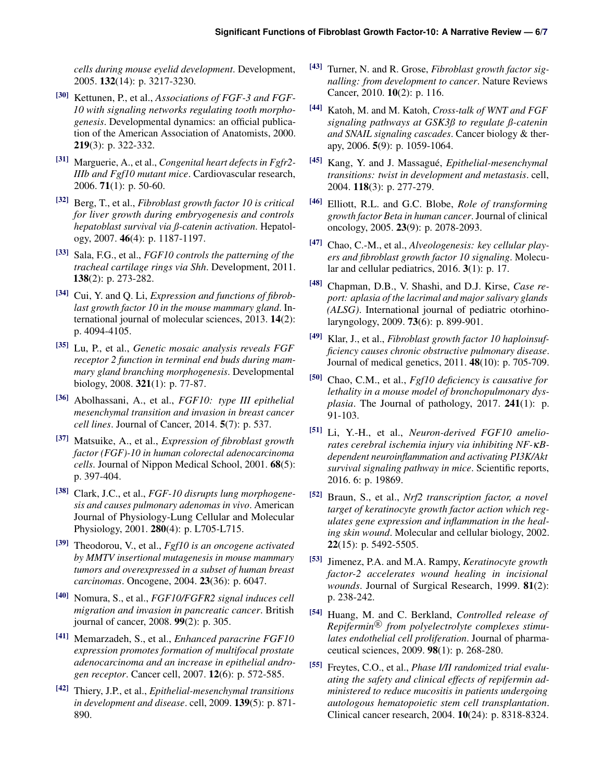*cells during mouse eyelid development*. Development, 2005. 132(14): p. 3217-3230.

- <span id="page-5-13"></span>[30] Kettunen, P., et al., *Associations of FGF-3 and FGF-10 with signaling networks regulating tooth morphogenesis*. Developmental dynamics: an official publication of the American Association of Anatomists, 2000. 219(3): p. 322-332.
- <span id="page-5-14"></span>[31] Marguerie, A., et al., *Congenital heart defects in Fgfr2- IIIb and Fgf10 mutant mice*. Cardiovascular research, 2006. 71(1): p. 50-60.
- <span id="page-5-15"></span>[32] Berg, T., et al., *Fibroblast growth factor 10 is critical for liver growth during embryogenesis and controls hepatoblast survival via ß-catenin activation*. Hepatology, 2007. 46(4): p. 1187-1197.
- <span id="page-5-16"></span>[33] Sala, F.G., et al., *FGF10 controls the patterning of the tracheal cartilage rings via Shh*. Development, 2011. 138(2): p. 273-282.
- <span id="page-5-17"></span>[34] Cui, Y. and Q. Li, *Expression and functions of fibroblast growth factor 10 in the mouse mammary gland*. International journal of molecular sciences, 2013. 14(2): p. 4094-4105.
- [35] Lu, P., et al., *Genetic mosaic analysis reveals FGF receptor 2 function in terminal end buds during mammary gland branching morphogenesis*. Developmental biology, 2008. 321(1): p. 77-87.
- <span id="page-5-0"></span>[36] Abolhassani, A., et al., *FGF10: type III epithelial mesenchymal transition and invasion in breast cancer cell lines*. Journal of Cancer, 2014. 5(7): p. 537.
- <span id="page-5-1"></span>[37] Matsuike, A., et al., *Expression of fibroblast growth factor (FGF)-10 in human colorectal adenocarcinoma cells*. Journal of Nippon Medical School, 2001. 68(5): p. 397-404.
- <span id="page-5-2"></span>[38] Clark, J.C., et al., *FGF-10 disrupts lung morphogenesis and causes pulmonary adenomas in vivo*. American Journal of Physiology-Lung Cellular and Molecular Physiology, 2001. 280(4): p. L705-L715.
- <span id="page-5-3"></span>[39] Theodorou, V., et al., *Fgf10 is an oncogene activated by MMTV insertional mutagenesis in mouse mammary tumors and overexpressed in a subset of human breast carcinomas*. Oncogene, 2004. 23(36): p. 6047.
- <span id="page-5-4"></span>[40] Nomura, S., et al., *FGF10/FGFR2 signal induces cell migration and invasion in pancreatic cancer*. British journal of cancer, 2008. 99(2): p. 305.
- <span id="page-5-5"></span>[41] Memarzadeh, S., et al., *Enhanced paracrine FGF10 expression promotes formation of multifocal prostate adenocarcinoma and an increase in epithelial androgen receptor*. Cancer cell, 2007. 12(6): p. 572-585.
- <span id="page-5-6"></span>[42] Thiery, J.P., et al., *Epithelial-mesenchymal transitions in development and disease*. cell, 2009. 139(5): p. 871- 890.
- <span id="page-5-7"></span>[43] Turner, N. and R. Grose, *Fibroblast growth factor signalling: from development to cancer*. Nature Reviews Cancer, 2010. 10(2): p. 116.
- <span id="page-5-8"></span>[44] Katoh, M. and M. Katoh, *Cross-talk of WNT and FGF signaling pathways at GSK3ß to regulate ß-catenin and SNAIL signaling cascades*. Cancer biology & therapy, 2006. 5(9): p. 1059-1064.
- <span id="page-5-9"></span>[45] Kang, Y. and J. Massague,´ *Epithelial-mesenchymal transitions: twist in development and metastasis*. cell, 2004. 118(3): p. 277-279.
- <span id="page-5-10"></span>[46] Elliott, R.L. and G.C. Blobe, *Role of transforming growth factor Beta in human cancer*. Journal of clinical oncology, 2005. 23(9): p. 2078-2093.
- <span id="page-5-11"></span>[47] Chao, C.-M., et al., *Alveologenesis: key cellular players and fibroblast growth factor 10 signaling*. Molecular and cellular pediatrics, 2016. 3(1): p. 17.
- <span id="page-5-12"></span>[48] Chapman, D.B., V. Shashi, and D.J. Kirse, *Case report: aplasia of the lacrimal and major salivary glands (ALSG)*. International journal of pediatric otorhinolaryngology, 2009. 73(6): p. 899-901.
- <span id="page-5-18"></span>[49] Klar, J., et al., *Fibroblast growth factor 10 haploinsufficiency causes chronic obstructive pulmonary disease*. Journal of medical genetics, 2011. 48(10): p. 705-709.
- <span id="page-5-19"></span>[50] Chao, C.M., et al., *Fgf10 deficiency is causative for lethality in a mouse model of bronchopulmonary dysplasia*. The Journal of pathology, 2017. 241(1): p. 91-103.
- <span id="page-5-20"></span>[51] Li, Y.-H., et al., *Neuron-derived FGF10 ameliorates cerebral ischemia injury via inhibiting NF-*κ*Bdependent neuroinflammation and activating PI3K/Akt survival signaling pathway in mice*. Scientific reports, 2016. 6: p. 19869.
- <span id="page-5-21"></span>[52] Braun, S., et al., *Nrf2 transcription factor, a novel target of keratinocyte growth factor action which regulates gene expression and inflammation in the healing skin wound*. Molecular and cellular biology, 2002. 22(15): p. 5492-5505.
- <span id="page-5-22"></span>[53] Jimenez, P.A. and M.A. Rampy, *Keratinocyte growth factor-2 accelerates wound healing in incisional wounds*. Journal of Surgical Research, 1999. 81(2): p. 238-242.
- <span id="page-5-23"></span>[54] Huang, M. and C. Berkland, *Controlled release of Repifermin* <sup>R</sup> *from polyelectrolyte complexes stimulates endothelial cell proliferation*. Journal of pharmaceutical sciences, 2009. 98(1): p. 268-280.
- <span id="page-5-24"></span>[55] Freytes, C.O., et al., *Phase I/II randomized trial evaluating the safety and clinical effects of repifermin administered to reduce mucositis in patients undergoing autologous hematopoietic stem cell transplantation*. Clinical cancer research, 2004. 10(24): p. 8318-8324.